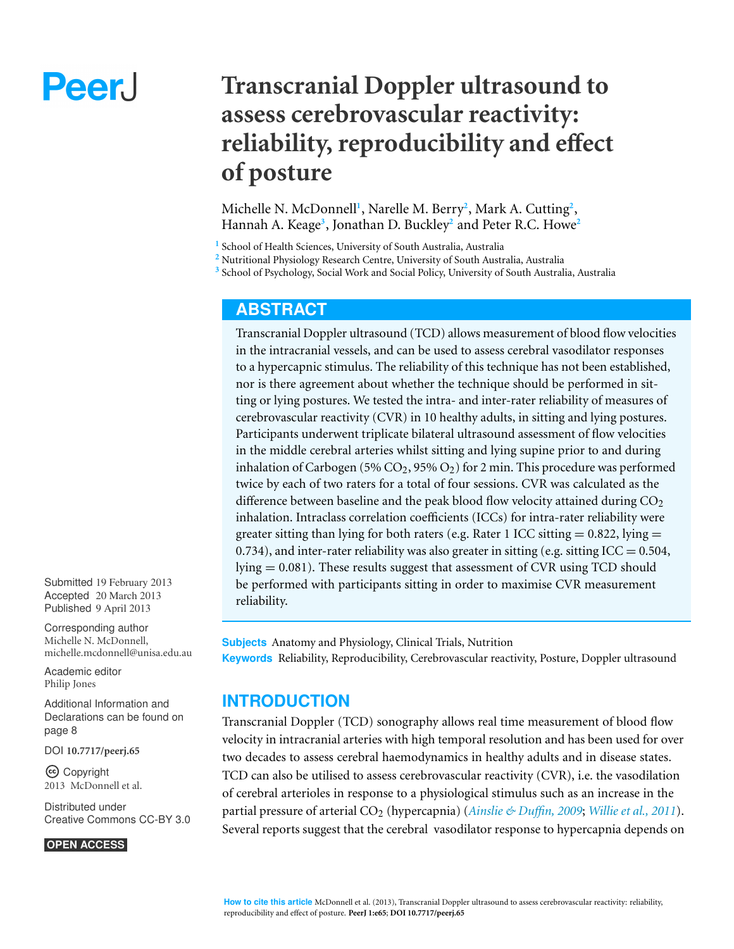# Peer.

# **Transcranial Doppler ultrasound to assess cerebrovascular reactivity: reliability, reproducibility and effect of posture**

Michelle N. McDonnell**<sup>1</sup>** , Narelle M. Berry**<sup>2</sup>** , Mark A. Cutting**<sup>2</sup>** , Hannah A. Keage**<sup>3</sup>** , Jonathan D. Buckley**<sup>2</sup>** and Peter R.C. Howe**<sup>2</sup>**

**1** School of Health Sciences, University of South Australia, Australia

**<sup>2</sup>** Nutritional Physiology Research Centre, University of South Australia, Australia

**3** School of Psychology, Social Work and Social Policy, University of South Australia, Australia

# **ABSTRACT**

Transcranial Doppler ultrasound (TCD) allows measurement of blood flow velocities in the intracranial vessels, and can be used to assess cerebral vasodilator responses to a hypercapnic stimulus. The reliability of this technique has not been established, nor is there agreement about whether the technique should be performed in sitting or lying postures. We tested the intra- and inter-rater reliability of measures of cerebrovascular reactivity (CVR) in 10 healthy adults, in sitting and lying postures. Participants underwent triplicate bilateral ultrasound assessment of flow velocities in the middle cerebral arteries whilst sitting and lying supine prior to and during inhalation of Carbogen (5%  $CO<sub>2</sub>$ , 95%  $O<sub>2</sub>$ ) for 2 min. This procedure was performed twice by each of two raters for a total of four sessions. CVR was calculated as the difference between baseline and the peak blood flow velocity attained during  $CO<sub>2</sub>$ inhalation. Intraclass correlation coefficients (ICCs) for intra-rater reliability were greater sitting than lying for both raters (e.g. Rater 1 ICC sitting  $= 0.822$ , lying  $=$ 0.734), and inter-rater reliability was also greater in sitting (e.g. sitting  $ICC = 0.504$ , lying = 0.081). These results suggest that assessment of CVR using TCD should be performed with participants sitting in order to maximise CVR measurement reliability.

**Subjects** Anatomy and Physiology, Clinical Trials, Nutrition **Keywords** Reliability, Reproducibility, Cerebrovascular reactivity, Posture, Doppler ultrasound

# **INTRODUCTION**

Transcranial Doppler (TCD) sonography allows real time measurement of blood flow velocity in intracranial arteries with high temporal resolution and has been used for over two decades to assess cerebral haemodynamics in healthy adults and in disease states. TCD can also be utilised to assess cerebrovascular reactivity (CVR), i.e. the vasodilation of cerebral arterioles in response to a physiological stimulus such as an increase in the partial pressure of arterial CO<sup>2</sup> (hypercapnia) (*[Ainslie](#page-8-0) [&](#page-8-0) [Du](#page-8-0)ffin, [2009](#page-8-0)*; *[Willie](#page-10-0) [et](#page-10-0) [al.,](#page-10-0) [2011](#page-10-0)*). Several reports suggest that the cerebral vasodilator response to hypercapnia depends on

Submitted 19 February 2013 Accepted 20 March 2013 Published 9 April 2013

Corresponding author [Michelle N. McDonnell,](mailto:michelle.mcdonnell@unisa.edu.au) [michelle.mcdonnell@unisa.edu.au](mailto:michelle.mcdonnell@unisa.edu.au)

[Academic editor](https://peerj.com/academic-boards/editors/) [Philip Jones](https://peerj.com/academic-boards/editors/)

[Additional Information and](#page-7-0) [Declarations can be found on](#page-7-0) [page 8](#page-7-0)

[DOI](http://dx.doi.org/10.7717/peerj.65) **[10.7717/peerj.65](http://dx.doi.org/10.7717/peerj.65)**

Copyright 2013 McDonnell et al.

[Distributed under](http://creativecommons.org/licenses/by/3.0/) [Creative Commons CC-BY 3.0](http://creativecommons.org/licenses/by/3.0/)

#### **OPEN ACCESS**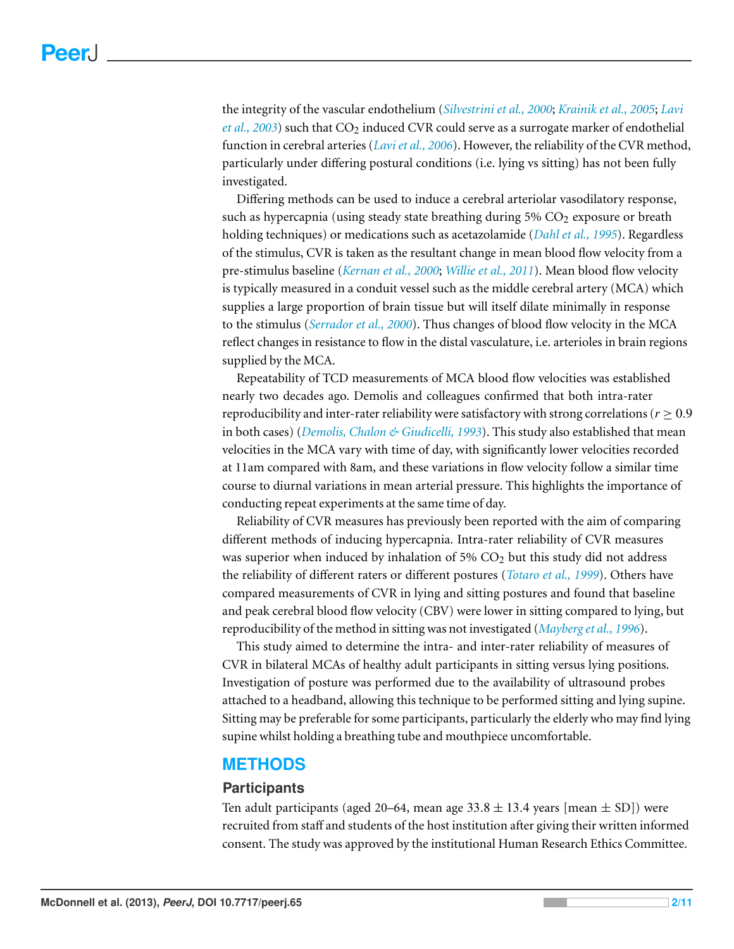the integrity of the vascular endothelium (*[Silvestrini](#page-9-0) [et](#page-9-0) [al.,](#page-9-0) [2000](#page-9-0)*; *[Krainik](#page-9-1) [et](#page-9-1) [al.,](#page-9-1) [2005](#page-9-1)*; *[Lavi](#page-9-2) [et](#page-9-2) [al.,](#page-9-2) [2003](#page-9-2)*) such that CO<sub>2</sub> induced CVR could serve as a surrogate marker of endothelial function in cerebral arteries (*[Laviet](#page-9-3) [al.,](#page-9-3) [2006](#page-9-3)*). However, the reliability of the CVR method, particularly under differing postural conditions (i.e. lying vs sitting) has not been fully investigated.

Differing methods can be used to induce a cerebral arteriolar vasodilatory response, such as hypercapnia (using steady state breathing during  $5\%$  CO<sub>2</sub> exposure or breath holding techniques) or medications such as acetazolamide (*[Dahl](#page-8-1) [et](#page-8-1) [al.,](#page-8-1) [1995](#page-8-1)*). Regardless of the stimulus, CVR is taken as the resultant change in mean blood flow velocity from a pre-stimulus baseline (*[Kernan](#page-9-4) [et](#page-9-4) [al.,](#page-9-4) [2000](#page-9-4)*; *[Willie](#page-10-0) [et](#page-10-0) [al.,](#page-10-0) [2011](#page-10-0)*). Mean blood flow velocity is typically measured in a conduit vessel such as the middle cerebral artery (MCA) which supplies a large proportion of brain tissue but will itself dilate minimally in response to the stimulus (*[Serrador](#page-9-5) [et](#page-9-5) [al.,](#page-9-5) [2000](#page-9-5)*). Thus changes of blood flow velocity in the MCA reflect changes in resistance to flow in the distal vasculature, i.e. arterioles in brain regions supplied by the MCA.

Repeatability of TCD measurements of MCA blood flow velocities was established nearly two decades ago. Demolis and colleagues confirmed that both intra-rater reproducibility and inter-rater reliability were satisfactory with strong correlations ( $r \geq 0.9$ ) in both cases) (*[Demolis,](#page-8-2) [Chalon](#page-8-2) [&](#page-8-2) [Giudicelli,](#page-8-2) [1993](#page-8-2)*). This study also established that mean velocities in the MCA vary with time of day, with significantly lower velocities recorded at 11am compared with 8am, and these variations in flow velocity follow a similar time course to diurnal variations in mean arterial pressure. This highlights the importance of conducting repeat experiments at the same time of day.

Reliability of CVR measures has previously been reported with the aim of comparing different methods of inducing hypercapnia. Intra-rater reliability of CVR measures was superior when induced by inhalation of 5%  $CO<sub>2</sub>$  but this study did not address the reliability of different raters or different postures (*[Totaro](#page-9-6) [et](#page-9-6) [al.,](#page-9-6) [1999](#page-9-6)*). Others have compared measurements of CVR in lying and sitting postures and found that baseline and peak cerebral blood flow velocity (CBV) were lower in sitting compared to lying, but reproducibility of the method in sitting was not investigated (*[Mayberg](#page-9-7) [et](#page-9-7) [al.,](#page-9-7) [1996](#page-9-7)*).

This study aimed to determine the intra- and inter-rater reliability of measures of CVR in bilateral MCAs of healthy adult participants in sitting versus lying positions. Investigation of posture was performed due to the availability of ultrasound probes attached to a headband, allowing this technique to be performed sitting and lying supine. Sitting may be preferable for some participants, particularly the elderly who may find lying supine whilst holding a breathing tube and mouthpiece uncomfortable.

# **METHODS**

#### **Participants**

Ten adult participants (aged 20–64, mean age  $33.8 \pm 13.4$  years [mean  $\pm$  SD]) were recruited from staff and students of the host institution after giving their written informed consent. The study was approved by the institutional Human Research Ethics Committee.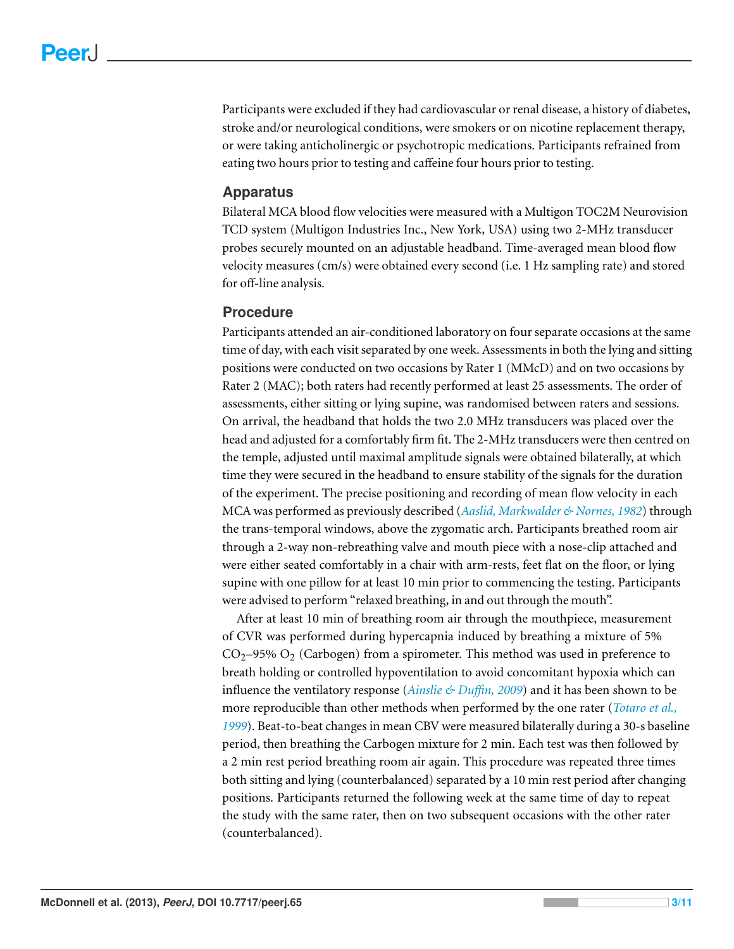Participants were excluded if they had cardiovascular or renal disease, a history of diabetes, stroke and/or neurological conditions, were smokers or on nicotine replacement therapy, or were taking anticholinergic or psychotropic medications. Participants refrained from eating two hours prior to testing and caffeine four hours prior to testing.

#### **Apparatus**

Bilateral MCA blood flow velocities were measured with a Multigon TOC2M Neurovision TCD system (Multigon Industries Inc., New York, USA) using two 2-MHz transducer probes securely mounted on an adjustable headband. Time-averaged mean blood flow velocity measures (cm/s) were obtained every second (i.e. 1 Hz sampling rate) and stored for off-line analysis.

### **Procedure**

Participants attended an air-conditioned laboratory on four separate occasions at the same time of day, with each visit separated by one week. Assessments in both the lying and sitting positions were conducted on two occasions by Rater 1 (MMcD) and on two occasions by Rater 2 (MAC); both raters had recently performed at least 25 assessments. The order of assessments, either sitting or lying supine, was randomised between raters and sessions. On arrival, the headband that holds the two 2.0 MHz transducers was placed over the head and adjusted for a comfortably firm fit. The 2-MHz transducers were then centred on the temple, adjusted until maximal amplitude signals were obtained bilaterally, at which time they were secured in the headband to ensure stability of the signals for the duration of the experiment. The precise positioning and recording of mean flow velocity in each MCA was performed as previously described (*[Aaslid,](#page-8-3) [Markwalder](#page-8-3) [&](#page-8-3) [Nornes,](#page-8-3) [1982](#page-8-3)*) through the trans-temporal windows, above the zygomatic arch. Participants breathed room air through a 2-way non-rebreathing valve and mouth piece with a nose-clip attached and were either seated comfortably in a chair with arm-rests, feet flat on the floor, or lying supine with one pillow for at least 10 min prior to commencing the testing. Participants were advised to perform "relaxed breathing, in and out through the mouth".

After at least 10 min of breathing room air through the mouthpiece, measurement of CVR was performed during hypercapnia induced by breathing a mixture of 5%  $CO<sub>2</sub>$ –95%  $O<sub>2</sub>$  (Carbogen) from a spirometer. This method was used in preference to breath holding or controlled hypoventilation to avoid concomitant hypoxia which can influence the ventilatory response (*[Ainslie](#page-8-0) [&](#page-8-0) [Du](#page-8-0)ffin, [2009](#page-8-0)*) and it has been shown to be more reproducible than other methods when performed by the one rater (*[Totaro](#page-9-6) [et](#page-9-6) [al.,](#page-9-6) [1999](#page-9-6)*). Beat-to-beat changes in mean CBV were measured bilaterally during a 30-s baseline period, then breathing the Carbogen mixture for 2 min. Each test was then followed by a 2 min rest period breathing room air again. This procedure was repeated three times both sitting and lying (counterbalanced) separated by a 10 min rest period after changing positions. Participants returned the following week at the same time of day to repeat the study with the same rater, then on two subsequent occasions with the other rater (counterbalanced).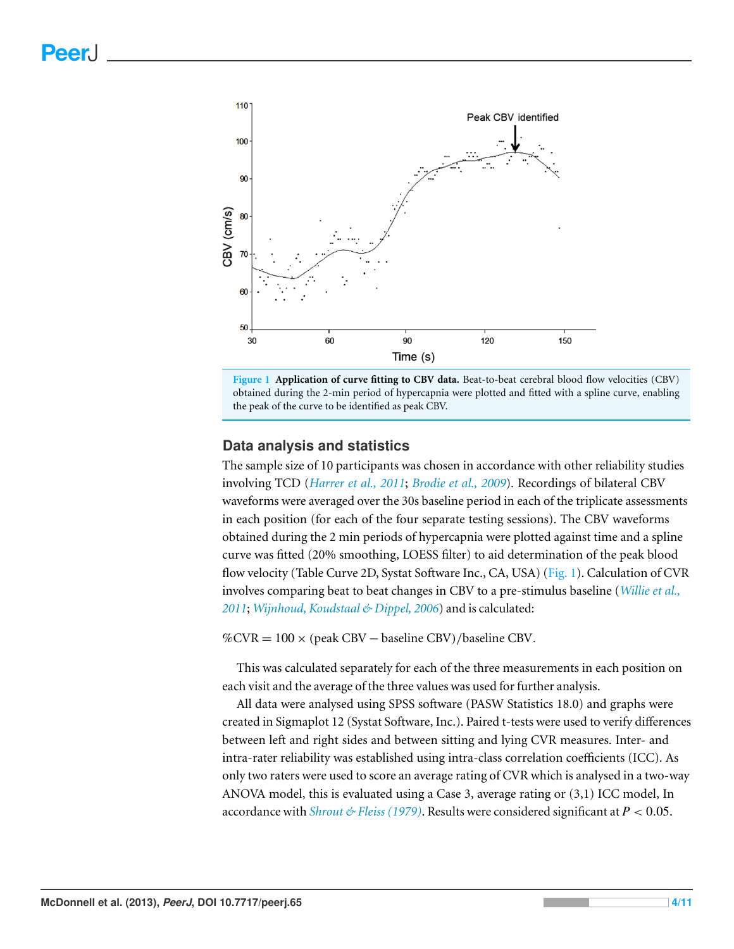<span id="page-3-0"></span>



#### **Data analysis and statistics**

The sample size of 10 participants was chosen in accordance with other reliability studies involving TCD (*[Harrer](#page-8-4) [et](#page-8-4) [al.,](#page-8-4) [2011](#page-8-4)*; *[Brodie](#page-8-5) [et](#page-8-5) [al.,](#page-8-5) [2009](#page-8-5)*). Recordings of bilateral CBV waveforms were averaged over the 30s baseline period in each of the triplicate assessments in each position (for each of the four separate testing sessions). The CBV waveforms obtained during the 2 min periods of hypercapnia were plotted against time and a spline curve was fitted (20% smoothing, LOESS filter) to aid determination of the peak blood flow velocity (Table Curve 2D, Systat Software Inc., CA, USA) [\(Fig. 1\)](#page-3-0). Calculation of CVR involves comparing beat to beat changes in CBV to a pre-stimulus baseline (*[Willie](#page-10-0) [et](#page-10-0) [al.,](#page-10-0) [2011](#page-10-0)*; *[Wijnhoud,](#page-10-1) [Koudstaal](#page-10-1) [&](#page-10-1) [Dippel,](#page-10-1) [2006](#page-10-1)*) and is calculated:

 $\%$ CVR = 100 × (peak CBV – baseline CBV)/baseline CBV.

This was calculated separately for each of the three measurements in each position on each visit and the average of the three values was used for further analysis.

All data were analysed using SPSS software (PASW Statistics 18.0) and graphs were created in Sigmaplot 12 (Systat Software, Inc.). Paired t-tests were used to verify differences between left and right sides and between sitting and lying CVR measures. Inter- and intra-rater reliability was established using intra-class correlation coefficients (ICC). As only two raters were used to score an average rating of CVR which is analysed in a two-way ANOVA model, this is evaluated using a Case 3, average rating or (3,1) ICC model, In accordance with *[Shrout](#page-9-8)*  $\mathcal{L}$  *Fleiss* (1979). Results were considered significant at  $P < 0.05$ .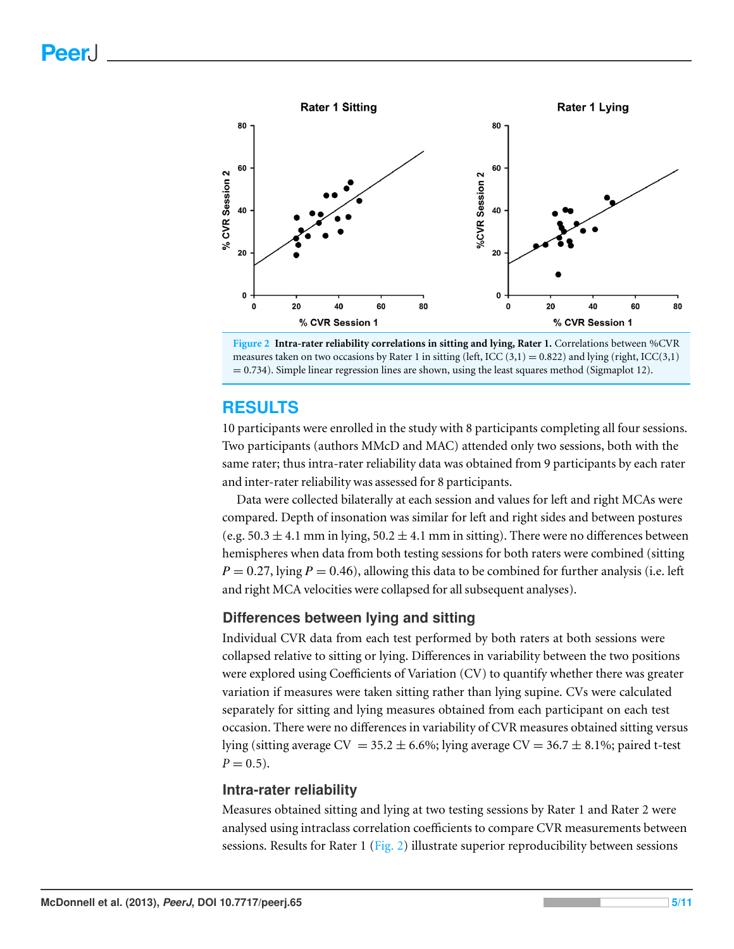<span id="page-4-0"></span>



# **RESULTS**

10 participants were enrolled in the study with 8 participants completing all four sessions. Two participants (authors MMcD and MAC) attended only two sessions, both with the same rater; thus intra-rater reliability data was obtained from 9 participants by each rater and inter-rater reliability was assessed for 8 participants.

Data were collected bilaterally at each session and values for left and right MCAs were compared. Depth of insonation was similar for left and right sides and between postures (e.g.  $50.3 \pm 4.1$  mm in lying,  $50.2 \pm 4.1$  mm in sitting). There were no differences between hemispheres when data from both testing sessions for both raters were combined (sitting  $P = 0.27$ , lying  $P = 0.46$ ), allowing this data to be combined for further analysis (i.e. left and right MCA velocities were collapsed for all subsequent analyses).

# **Differences between lying and sitting**

Individual CVR data from each test performed by both raters at both sessions were collapsed relative to sitting or lying. Differences in variability between the two positions were explored using Coefficients of Variation (CV) to quantify whether there was greater variation if measures were taken sitting rather than lying supine. CVs were calculated separately for sitting and lying measures obtained from each participant on each test occasion. There were no differences in variability of CVR measures obtained sitting versus lying (sitting average  $CV = 35.2 \pm 6.6\%$ ; lying average  $CV = 36.7 \pm 8.1\%$ ; paired t-test  $P = 0.5$ ).

#### **Intra-rater reliability**

Measures obtained sitting and lying at two testing sessions by Rater 1 and Rater 2 were analysed using intraclass correlation coefficients to compare CVR measurements between sessions. Results for Rater 1 [\(Fig. 2\)](#page-4-0) illustrate superior reproducibility between sessions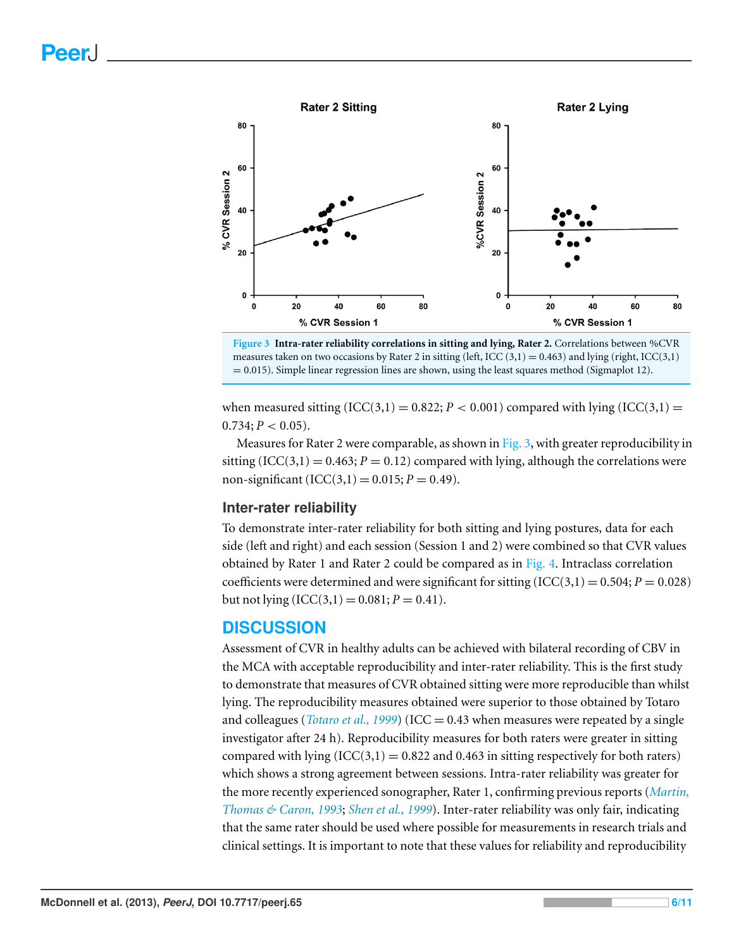<span id="page-5-0"></span>

**Figure 3 Intra-rater reliability correlations in sitting and lying, Rater 2.** Correlations between %CVR measures taken on two occasions by Rater 2 in sitting (left, ICC  $(3,1) = 0.463$ ) and lying (right, ICC(3,1)  $= 0.015$ ). Simple linear regression lines are shown, using the least squares method (Sigmaplot 12).

when measured sitting  $(ICC(3,1) = 0.822; P < 0.001)$  compared with lying  $(ICC(3,1) =$  $0.734$ ;  $P < 0.05$ ).

Measures for Rater 2 were comparable, as shown in [Fig. 3,](#page-5-0) with greater reproducibility in sitting (ICC(3,1) = 0.463;  $P = 0.12$ ) compared with lying, although the correlations were non-significant  $(ICC(3,1) = 0.015; P = 0.49)$ .

#### **Inter-rater reliability**

To demonstrate inter-rater reliability for both sitting and lying postures, data for each side (left and right) and each session (Session 1 and 2) were combined so that CVR values obtained by Rater 1 and Rater 2 could be compared as in [Fig. 4.](#page-6-0) Intraclass correlation coefficients were determined and were significant for sitting  $(ICC(3,1) = 0.504; P = 0.028)$ but not lying  $(ICC(3,1) = 0.081; P = 0.41)$ .

# **DISCUSSION**

Assessment of CVR in healthy adults can be achieved with bilateral recording of CBV in the MCA with acceptable reproducibility and inter-rater reliability. This is the first study to demonstrate that measures of CVR obtained sitting were more reproducible than whilst lying. The reproducibility measures obtained were superior to those obtained by Totaro and colleagues (*[Totaro](#page-9-6) [et](#page-9-6) [al.,](#page-9-6) [1999](#page-9-6)*) (ICC = 0.43 when measures were repeated by a single investigator after 24 h). Reproducibility measures for both raters were greater in sitting compared with lying  $(ICC(3,1) = 0.822$  and 0.463 in sitting respectively for both raters) which shows a strong agreement between sessions. Intra-rater reliability was greater for the more recently experienced sonographer, Rater 1, confirming previous reports (*[Martin,](#page-9-9) [Thomas](#page-9-9) [&](#page-9-9) [Caron,](#page-9-9) [1993](#page-9-9)*; *[Shen](#page-9-10) [et](#page-9-10) [al.,](#page-9-10) [1999](#page-9-10)*). Inter-rater reliability was only fair, indicating that the same rater should be used where possible for measurements in research trials and clinical settings. It is important to note that these values for reliability and reproducibility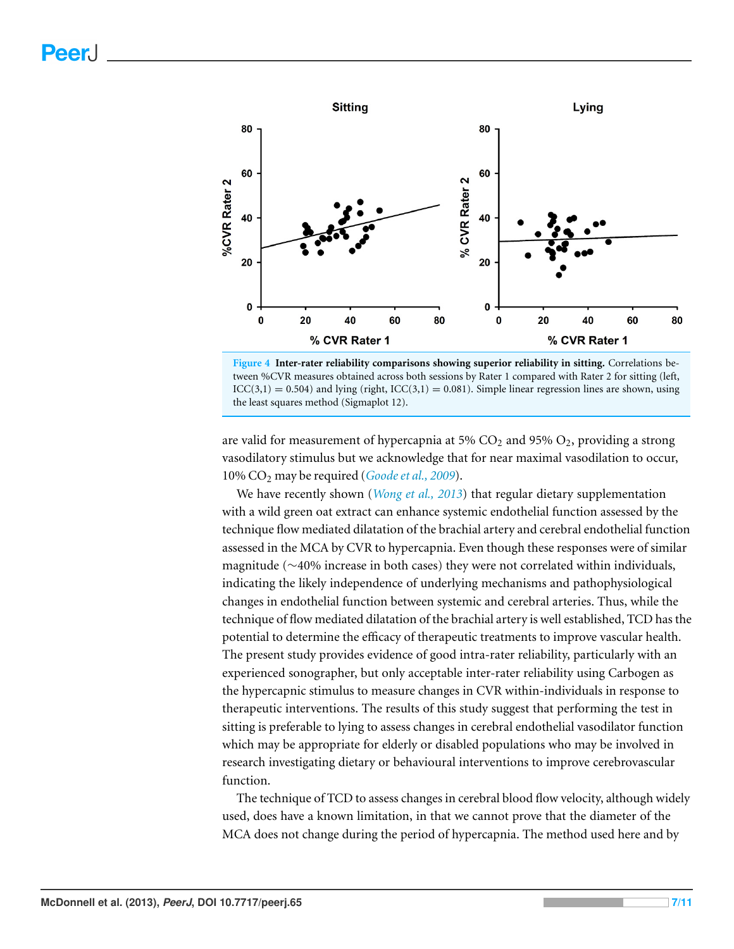<span id="page-6-0"></span>

**Figure 4 Inter-rater reliability comparisons showing superior reliability in sitting.** Correlations between %CVR measures obtained across both sessions by Rater 1 compared with Rater 2 for sitting (left,  $ICC(3,1) = 0.504)$  and lying (right,  $ICC(3,1) = 0.081)$ . Simple linear regression lines are shown, using the least squares method (Sigmaplot 12).

are valid for measurement of hypercapnia at 5%  $CO<sub>2</sub>$  and 95%  $O<sub>2</sub>$ , providing a strong vasodilatory stimulus but we acknowledge that for near maximal vasodilation to occur, 10% CO<sup>2</sup> may be required (*[Goodeet](#page-8-6) [al.,](#page-8-6) [2009](#page-8-6)*).

We have recently shown (*[Wong](#page-10-2) [et](#page-10-2) [al.,](#page-10-2) [2013](#page-10-2)*) that regular dietary supplementation with a wild green oat extract can enhance systemic endothelial function assessed by the technique flow mediated dilatation of the brachial artery and cerebral endothelial function assessed in the MCA by CVR to hypercapnia. Even though these responses were of similar magnitude (∼40% increase in both cases) they were not correlated within individuals, indicating the likely independence of underlying mechanisms and pathophysiological changes in endothelial function between systemic and cerebral arteries. Thus, while the technique of flow mediated dilatation of the brachial artery is well established, TCD has the potential to determine the efficacy of therapeutic treatments to improve vascular health. The present study provides evidence of good intra-rater reliability, particularly with an experienced sonographer, but only acceptable inter-rater reliability using Carbogen as the hypercapnic stimulus to measure changes in CVR within-individuals in response to therapeutic interventions. The results of this study suggest that performing the test in sitting is preferable to lying to assess changes in cerebral endothelial vasodilator function which may be appropriate for elderly or disabled populations who may be involved in research investigating dietary or behavioural interventions to improve cerebrovascular function.

The technique of TCD to assess changes in cerebral blood flow velocity, although widely used, does have a known limitation, in that we cannot prove that the diameter of the MCA does not change during the period of hypercapnia. The method used here and by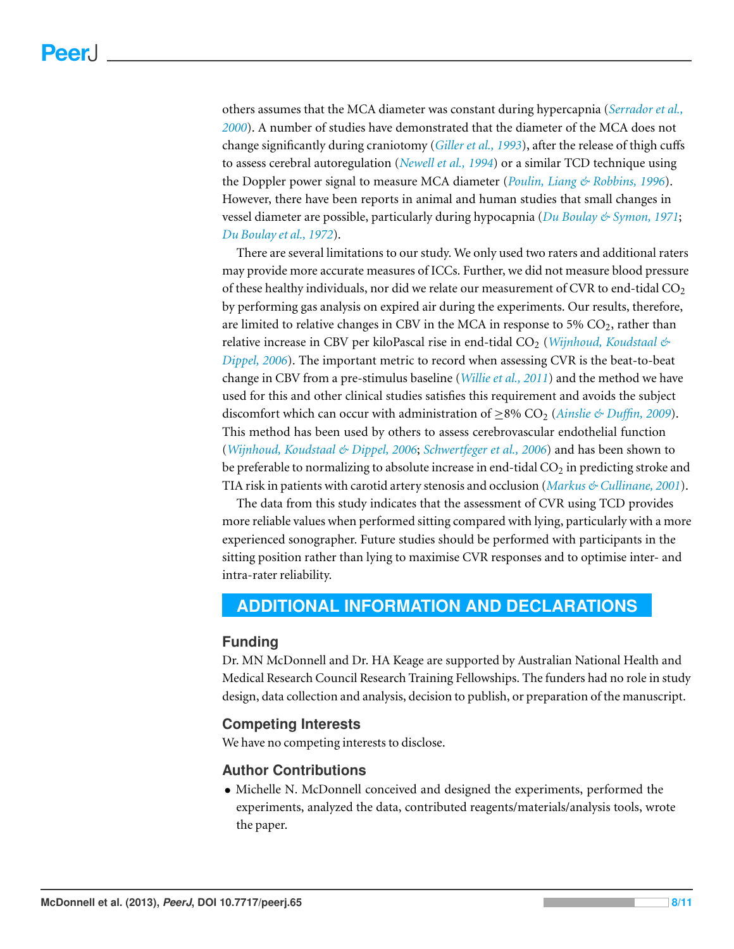others assumes that the MCA diameter was constant during hypercapnia (*[Serrador](#page-9-5) [et](#page-9-5) [al.,](#page-9-5) [2000](#page-9-5)*). A number of studies have demonstrated that the diameter of the MCA does not change significantly during craniotomy (*[Giller](#page-8-7) [et](#page-8-7) [al.,](#page-8-7) [1993](#page-8-7)*), after the release of thigh cuffs to assess cerebral autoregulation (*[Newell](#page-9-11) [et](#page-9-11) [al.,](#page-9-11) [1994](#page-9-11)*) or a similar TCD technique using the Doppler power signal to measure MCA diameter (*[Poulin,](#page-9-12) [Liang](#page-9-12) [&](#page-9-12) [Robbins,](#page-9-12) [1996](#page-9-12)*). However, there have been reports in animal and human studies that small changes in vessel diameter are possible, particularly during hypocapnia (*[Du](#page-8-8) [Boulay](#page-8-8) [&](#page-8-8) [Symon,](#page-8-8) [1971](#page-8-8)*; *[Du](#page-8-9) [Boulay](#page-8-9) [et](#page-8-9) [al.,](#page-8-9) [1972](#page-8-9)*).

There are several limitations to our study. We only used two raters and additional raters may provide more accurate measures of ICCs. Further, we did not measure blood pressure of these healthy individuals, nor did we relate our measurement of CVR to end-tidal  $CO<sub>2</sub>$ by performing gas analysis on expired air during the experiments. Our results, therefore, are limited to relative changes in CBV in the MCA in response to 5%  $CO<sub>2</sub>$ , rather than relative increase in CBV per kiloPascal rise in end-tidal CO<sup>2</sup> (*[Wijnhoud,](#page-10-1) [Koudstaal](#page-10-1) [&](#page-10-1) [Dippel,](#page-10-1) [2006](#page-10-1)*). The important metric to record when assessing CVR is the beat-to-beat change in CBV from a pre-stimulus baseline (*[Willie](#page-10-0) [et](#page-10-0) [al.,](#page-10-0) [2011](#page-10-0)*) and the method we have used for this and other clinical studies satisfies this requirement and avoids the subject discomfort which can occur with administration of ≥8% CO<sup>2</sup> (*[Ainslie](#page-8-0) [&](#page-8-0) [Du](#page-8-0)ffin, [2009](#page-8-0)*). This method has been used by others to assess cerebrovascular endothelial function (*[Wijnhoud,](#page-10-1) [Koudstaal](#page-10-1) [&](#page-10-1) [Dippel,](#page-10-1) [2006](#page-10-1)*; *[Schwertfeger](#page-9-13) [et](#page-9-13) [al.,](#page-9-13) [2006](#page-9-13)*) and has been shown to be preferable to normalizing to absolute increase in end-tidal  $CO<sub>2</sub>$  in predicting stroke and TIA risk in patients with carotid artery stenosis and occlusion (*[Markus](#page-9-14) [&](#page-9-14) [Cullinane,](#page-9-14) [2001](#page-9-14)*).

The data from this study indicates that the assessment of CVR using TCD provides more reliable values when performed sitting compared with lying, particularly with a more experienced sonographer. Future studies should be performed with participants in the sitting position rather than lying to maximise CVR responses and to optimise inter- and intra-rater reliability.

# <span id="page-7-0"></span>**ADDITIONAL INFORMATION AND DECLARATIONS**

#### **Funding**

Dr. MN McDonnell and Dr. HA Keage are supported by Australian National Health and Medical Research Council Research Training Fellowships. The funders had no role in study design, data collection and analysis, decision to publish, or preparation of the manuscript.

#### **Competing Interests**

We have no competing interests to disclose.

#### **Author Contributions**

• Michelle N. McDonnell conceived and designed the experiments, performed the experiments, analyzed the data, contributed reagents/materials/analysis tools, wrote the paper.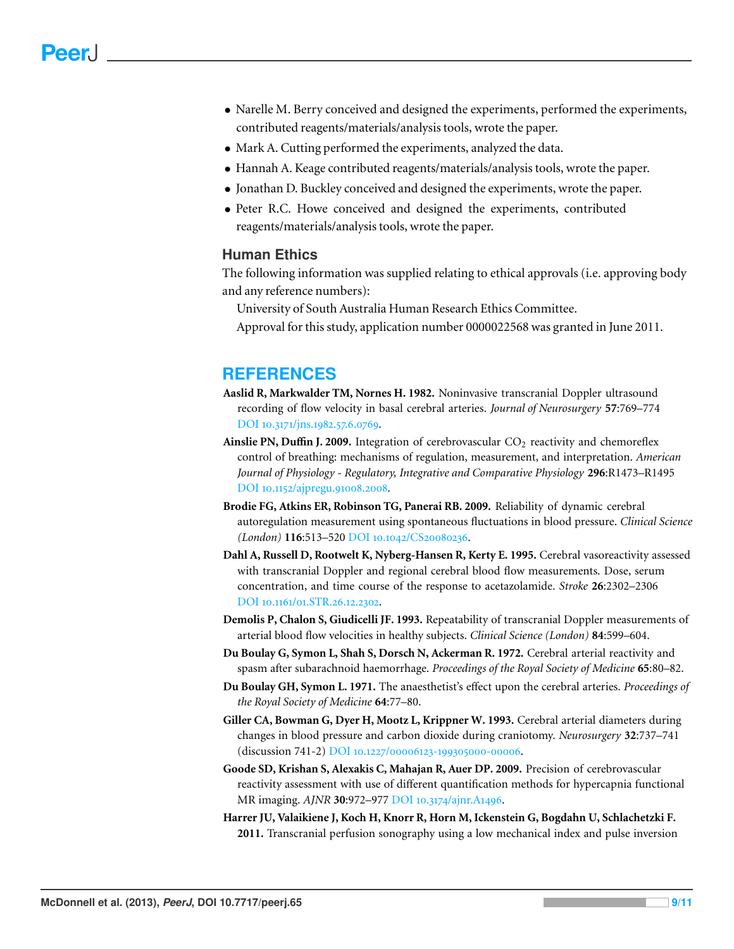- Narelle M. Berry conceived and designed the experiments, performed the experiments, contributed reagents/materials/analysis tools, wrote the paper.
- Mark A. Cutting performed the experiments, analyzed the data.
- Hannah A. Keage contributed reagents/materials/analysis tools, wrote the paper.
- Jonathan D. Buckley conceived and designed the experiments, wrote the paper.
- Peter R.C. Howe conceived and designed the experiments, contributed reagents/materials/analysis tools, wrote the paper.

# **Human Ethics**

The following information was supplied relating to ethical approvals (i.e. approving body and any reference numbers):

University of South Australia Human Research Ethics Committee.

Approval for this study, application number 0000022568 was granted in June 2011.

# **REFERENCES**

- <span id="page-8-3"></span>**Aaslid R, Markwalder TM, Nornes H. 1982.** Noninvasive transcranial Doppler ultrasound recording of flow velocity in basal cerebral arteries. *Journal of Neurosurgery* **57**:769–774 DOI 10.3171[/jns.](http://dx.doi.org/10.3171/jns.1982.57.6.0769)1982.57.6.0769.
- <span id="page-8-0"></span>**Ainslie PN, Duffin J. 2009.** Integration of cerebrovascular CO<sub>2</sub> reactivity and chemoreflex control of breathing: mechanisms of regulation, measurement, and interpretation. *American Journal of Physiology - Regulatory, Integrative and Comparative Physiology* **296**:R1473–R1495 DOI 10.1152[/ajpregu.](http://dx.doi.org/10.1152/ajpregu.91008.2008)91008.2008.
- <span id="page-8-5"></span>**Brodie FG, Atkins ER, Robinson TG, Panerai RB. 2009.** Reliability of dynamic cerebral autoregulation measurement using spontaneous fluctuations in blood pressure. *Clinical Science (London)* **116:513–520** DOI 10.1042/CS20080236.
- <span id="page-8-1"></span>**Dahl A, Russell D, Rootwelt K, Nyberg-Hansen R, Kerty E. 1995.** Cerebral vasoreactivity assessed with transcranial Doppler and regional cerebral blood flow measurements. Dose, serum concentration, and time course of the response to acetazolamide. *Stroke* **26**:2302–2306 DOI 10.1161/01[.STR.](http://dx.doi.org/10.1161/01.STR.26.12.2302)26.12.2302.
- <span id="page-8-2"></span>**Demolis P, Chalon S, Giudicelli JF. 1993.** Repeatability of transcranial Doppler measurements of arterial blood flow velocities in healthy subjects. *Clinical Science (London)* **84**:599–604.
- <span id="page-8-9"></span>**Du Boulay G, Symon L, Shah S, Dorsch N, Ackerman R. 1972.** Cerebral arterial reactivity and spasm after subarachnoid haemorrhage. *Proceedings of the Royal Society of Medicine* **65**:80–82.
- <span id="page-8-8"></span>**Du Boulay GH, Symon L. 1971.** The anaesthetist's effect upon the cerebral arteries. *Proceedings of the Royal Society of Medicine* **64**:77–80.
- <span id="page-8-7"></span>**Giller CA, Bowman G, Dyer H, Mootz L, Krippner W. 1993.** Cerebral arterial diameters during changes in blood pressure and carbon dioxide during craniotomy. *Neurosurgery* **32**:737–741 (discussion 741-2) DOI 10.1227/00006123-199305000-00006.
- <span id="page-8-6"></span>**Goode SD, Krishan S, Alexakis C, Mahajan R, Auer DP. 2009.** Precision of cerebrovascular reactivity assessment with use of different quantification methods for hypercapnia functional MR imaging. *AJNR* **30:**972–977 DOI 10.3174[/ajnr.A](http://dx.doi.org/10.3174/ajnr.A1496)1496.
- <span id="page-8-4"></span>**Harrer JU, Valaikiene J, Koch H, Knorr R, Horn M, Ickenstein G, Bogdahn U, Schlachetzki F. 2011.** Transcranial perfusion sonography using a low mechanical index and pulse inversion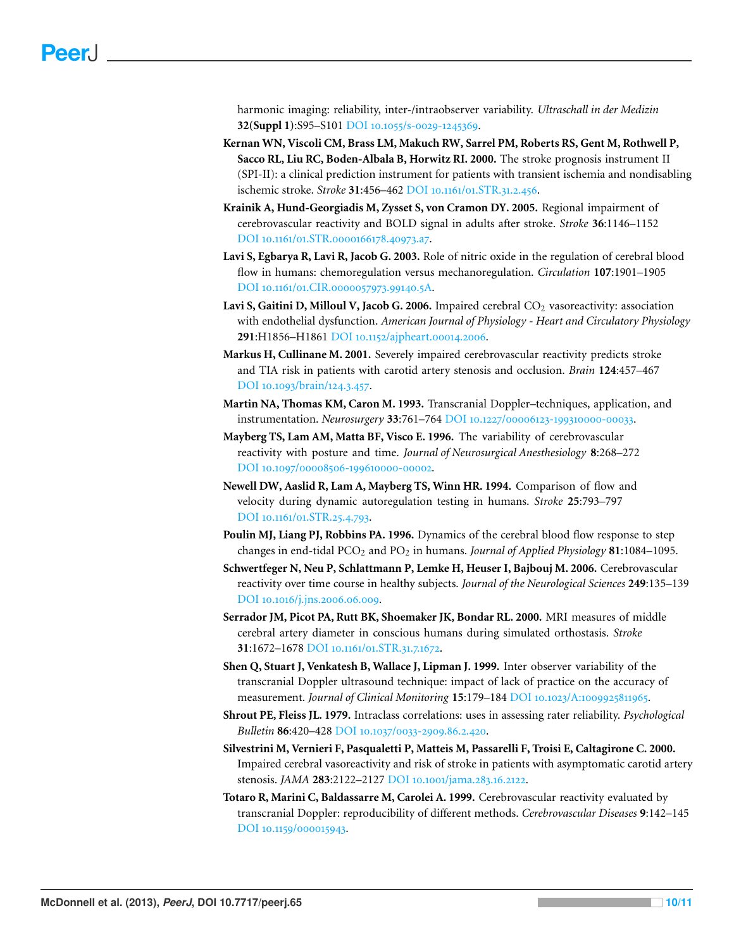harmonic imaging: reliability, inter-/intraobserver variability. *Ultraschall in der Medizin* **32(Suppl 1):S95-S101 DOI** 10.1055/s-0029-1245369.

- <span id="page-9-4"></span>**Kernan WN, Viscoli CM, Brass LM, Makuch RW, Sarrel PM, Roberts RS, Gent M, Rothwell P, Sacco RL, Liu RC, Boden-Albala B, Horwitz RI. 2000.** The stroke prognosis instrument II (SPI-II): a clinical prediction instrument for patients with transient ischemia and nondisabling ischemic stroke. *Stroke* 31:456-462 DOI 10.1161/01[.STR.](http://dx.doi.org/10.1161/01.STR.31.2.456)31.2.456.
- <span id="page-9-1"></span>**Krainik A, Hund-Georgiadis M, Zysset S, von Cramon DY. 2005.** Regional impairment of cerebrovascular reactivity and BOLD signal in adults after stroke. *Stroke* **36**:1146–1152 DOI 10.1161/01.STR.0000166178.40973.a7.
- <span id="page-9-2"></span>**Lavi S, Egbarya R, Lavi R, Jacob G. 2003.** Role of nitric oxide in the regulation of cerebral blood flow in humans: chemoregulation versus mechanoregulation. *Circulation* **107**:1901–1905 DOI 10.1161/01.CIR.0000057973.99140.5A.
- <span id="page-9-3"></span>Lavi S, Gaitini D, Milloul V, Jacob G. 2006. Impaired cerebral CO<sub>2</sub> vasoreactivity: association with endothelial dysfunction. *American Journal of Physiology - Heart and Circulatory Physiology* 291:H1856-H1861 DOI 10.1152[/ajpheart.](http://dx.doi.org/10.1152/ajpheart.00014.2006)00014.2006.
- <span id="page-9-14"></span>**Markus H, Cullinane M. 2001.** Severely impaired cerebrovascular reactivity predicts stroke and TIA risk in patients with carotid artery stenosis and occlusion. *Brain* **124**:457–467 DOI 10.1093[/brain/](http://dx.doi.org/10.1093/brain/124.3.457)124.3.457.
- <span id="page-9-9"></span>**Martin NA, Thomas KM, Caron M. 1993.** Transcranial Doppler–techniques, application, and instrumentation. *Neurosurgery* 33:761–764 DOI 10.1227/00006123-199310000-00033.
- <span id="page-9-7"></span>**Mayberg TS, Lam AM, Matta BF, Visco E. 1996.** The variability of cerebrovascular reactivity with posture and time. *Journal of Neurosurgical Anesthesiology* **8**:268–272 DOI 10.1097/00008506-199610000-00002.
- <span id="page-9-11"></span>**Newell DW, Aaslid R, Lam A, Mayberg TS, Winn HR. 1994.** Comparison of flow and velocity during dynamic autoregulation testing in humans. *Stroke* **25**:793–797 DOI 10.1161/01[.STR.](http://dx.doi.org/10.1161/01.STR.25.4.793)25.4.793.
- <span id="page-9-12"></span>**Poulin MJ, Liang PJ, Robbins PA. 1996.** Dynamics of the cerebral blood flow response to step changes in end-tidal PCO<sup>2</sup> and PO<sup>2</sup> in humans. *Journal of Applied Physiology* **81**:1084–1095.
- <span id="page-9-13"></span>**Schwertfeger N, Neu P, Schlattmann P, Lemke H, Heuser I, Bajbouj M. 2006.** Cerebrovascular reactivity over time course in healthy subjects. *Journal of the Neurological Sciences* **249**:135–139 DOI 10.1016[/j.jns.](http://dx.doi.org/10.1016/j.jns.2006.06.009)2006.06.009.
- <span id="page-9-5"></span>**Serrador JM, Picot PA, Rutt BK, Shoemaker JK, Bondar RL. 2000.** MRI measures of middle cerebral artery diameter in conscious humans during simulated orthostasis. *Stroke* **31:1672–1678 DOI** 10.1161/01[.STR.](http://dx.doi.org/10.1161/01.STR.31.7.1672)31.7.1672.
- <span id="page-9-10"></span>**Shen Q, Stuart J, Venkatesh B, Wallace J, Lipman J. 1999.** Inter observer variability of the transcranial Doppler ultrasound technique: impact of lack of practice on the accuracy of measurement. *Journal of Clinical Monitoring* 15:179-184 DOI 10.1023/A:1009925811965.
- <span id="page-9-8"></span>**Shrout PE, Fleiss JL. 1979.** Intraclass correlations: uses in assessing rater reliability. *Psychological Bulletin* 86:420-428 DOI 10.1037/0033-2909.86.2.420.
- <span id="page-9-0"></span>**Silvestrini M, Vernieri F, Pasqualetti P, Matteis M, Passarelli F, Troisi E, Caltagirone C. 2000.** Impaired cerebral vasoreactivity and risk of stroke in patients with asymptomatic carotid artery stenosis. *JAMA* 283:2122-2127 DOI 10.1001[/jama.](http://dx.doi.org/10.1001/jama.283.16.2122)283.16.2122.
- <span id="page-9-6"></span>**Totaro R, Marini C, Baldassarre M, Carolei A. 1999.** Cerebrovascular reactivity evaluated by transcranial Doppler: reproducibility of different methods. *Cerebrovascular Diseases* **9**:142–145 DOI 10.1159/000015943.